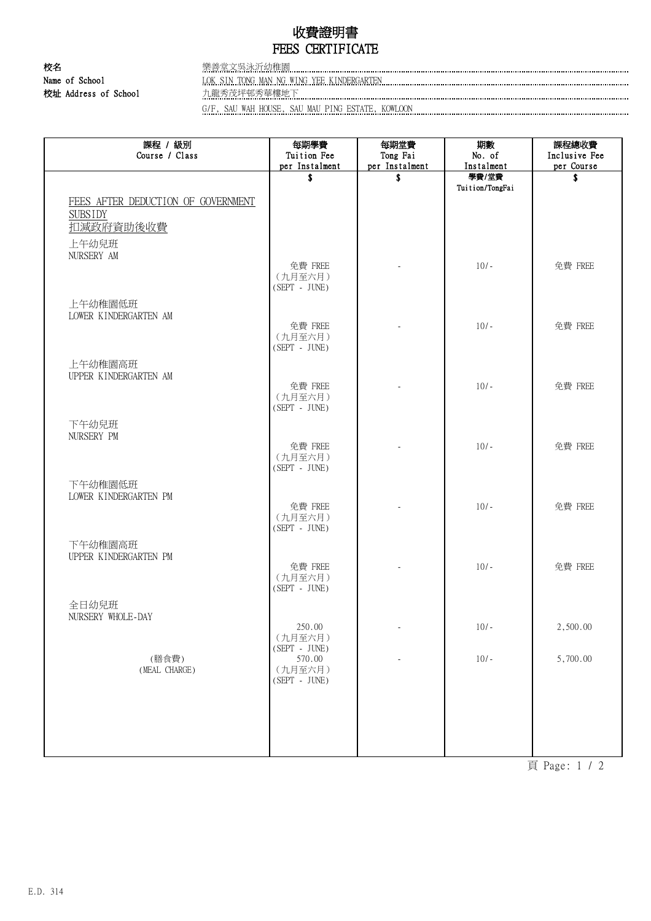## 收費證明書 FEES CERTIFICATE

校名 樂善堂文吳泳沂幼稚園

Name of School LOK SIN TONG MAN NG WING YEE KINDERGARTEN 校址 Address of School 九龍秀茂坪邨秀華樓地下

G/F, SAU WAH HOUSE, SAU MAU PING ESTATE, KOWLOON

| 課程 / 級別<br>Course / Class          | 每期學費<br>Tuition Fee | 每期堂費<br>Tong Fai | 期數<br>No. of    | 課程總收費<br>Inclusive Fee |
|------------------------------------|---------------------|------------------|-----------------|------------------------|
|                                    | per Instalment      | per Instalment   | Instalment      | per Course             |
|                                    | \$                  | \$               | 學費/堂費           | \$                     |
|                                    |                     |                  | Tuition/TongFai |                        |
| FEES AFTER DEDUCTION OF GOVERNMENT |                     |                  |                 |                        |
| <b>SUBSIDY</b>                     |                     |                  |                 |                        |
| 扣减政府資助後收費                          |                     |                  |                 |                        |
| 上午幼兒班                              |                     |                  |                 |                        |
| NURSERY AM                         | 免費 FREE             |                  | $10/-$          | 免費 FREE                |
|                                    | (九月至六月)             |                  |                 |                        |
|                                    | $(SEPT - JUNE)$     |                  |                 |                        |
| 上午幼稚園低班                            |                     |                  |                 |                        |
| LOWER KINDERGARTEN AM              |                     |                  |                 |                        |
|                                    | 免費 FREE<br>(九月至六月)  |                  | $10/-$          | 免費 FREE                |
|                                    | $(SEPT - JUNE)$     |                  |                 |                        |
| 上午幼稚園高班                            |                     |                  |                 |                        |
| UPPER KINDERGARTEN AM              |                     |                  |                 |                        |
|                                    | 免費 FREE             |                  | $10/-$          | 免費 FREE                |
|                                    | (九月至六月)             |                  |                 |                        |
|                                    | $(SEPT - JUNE)$     |                  |                 |                        |
| 下午幼兒班                              |                     |                  |                 |                        |
| NURSERY PM                         | 免費 FREE             |                  | $10/-$          | 免費 FREE                |
|                                    | (九月至六月)             |                  |                 |                        |
|                                    | $(SEPT - JUNE)$     |                  |                 |                        |
| 下午幼稚園低班                            |                     |                  |                 |                        |
| LOWER KINDERGARTEN PM              |                     |                  |                 |                        |
|                                    | 免費 FREE<br>(九月至六月)  |                  | $10/-$          | 免費 FREE                |
|                                    | $(SEPT - JUNE)$     |                  |                 |                        |
| 下午幼稚園高班                            |                     |                  |                 |                        |
| UPPER KINDERGARTEN PM              |                     |                  |                 |                        |
|                                    | 免費 FREE             |                  | $10/-$          | 免費 FREE                |
|                                    | (九月至六月)             |                  |                 |                        |
|                                    | $(SEPT - JUNE)$     |                  |                 |                        |
| 全日幼兒班                              |                     |                  |                 |                        |
| NURSERY WHOLE-DAY                  | 250.00              |                  | $10/-$          | 2,500.00               |
|                                    | (九月至六月)             |                  |                 |                        |
|                                    | $(SEPT - JUNE)$     |                  |                 |                        |
| (膳食費)<br>(MEAL CHARGE)             | 570.00<br>(九月至六月)   |                  | $10/-$          | 5,700.00               |
|                                    | $(SEPT - JUNE)$     |                  |                 |                        |
|                                    |                     |                  |                 |                        |
|                                    |                     |                  |                 |                        |
|                                    |                     |                  |                 |                        |
|                                    |                     |                  |                 |                        |
|                                    |                     |                  |                 |                        |

頁 Page: 1 / 2